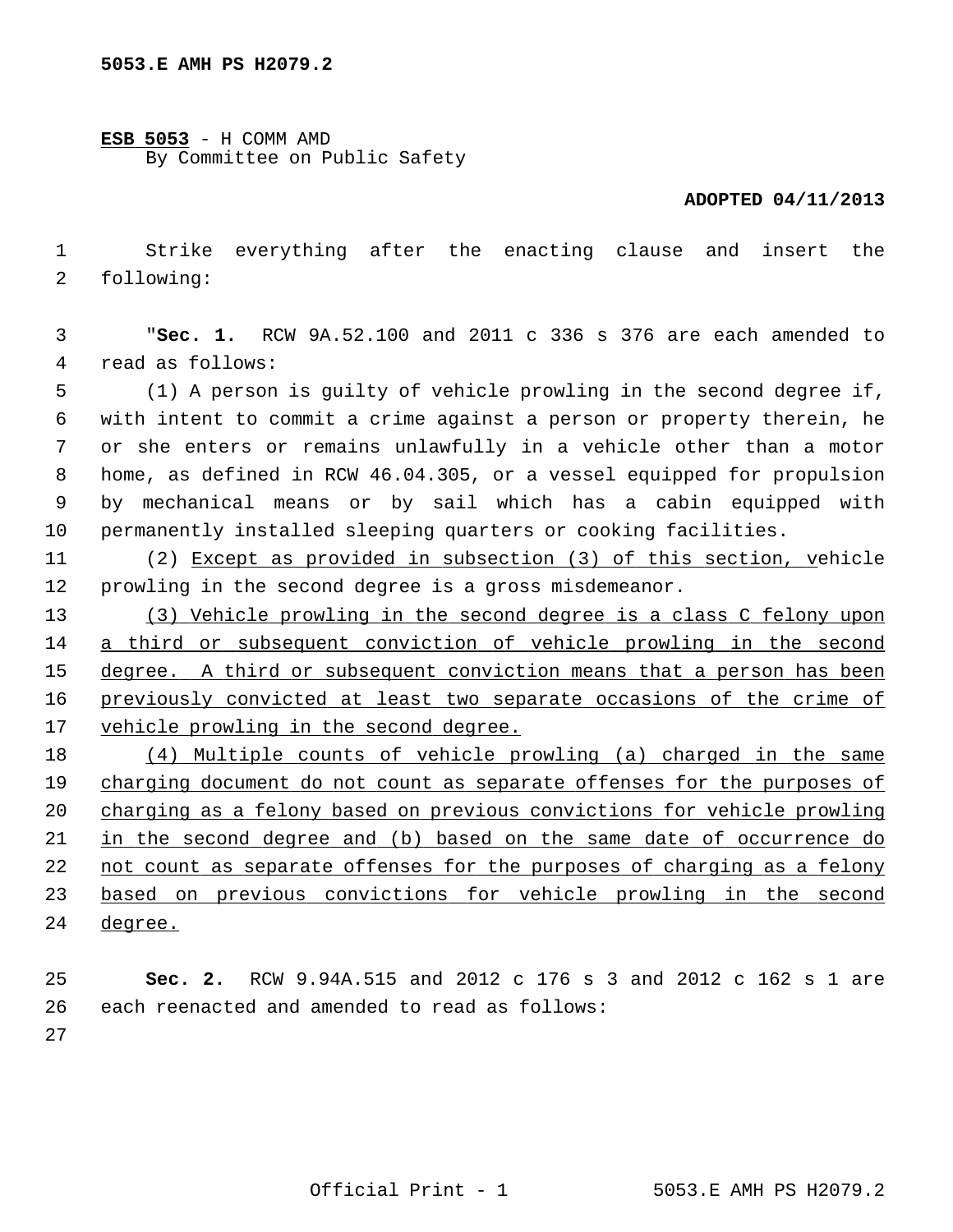**ESB 5053** - H COMM AMD By Committee on Public Safety

## **ADOPTED 04/11/2013**

 1 Strike everything after the enacting clause and insert the 2 following:

 3 "**Sec. 1.** RCW 9A.52.100 and 2011 c 336 s 376 are each amended to 4 read as follows:

 5 (1) A person is guilty of vehicle prowling in the second degree if, 6 with intent to commit a crime against a person or property therein, he 7 or she enters or remains unlawfully in a vehicle other than a motor 8 home, as defined in RCW 46.04.305, or a vessel equipped for propulsion 9 by mechanical means or by sail which has a cabin equipped with 10 permanently installed sleeping quarters or cooking facilities.

11 (2) Except as provided in subsection (3) of this section, vehicle 12 prowling in the second degree is a gross misdemeanor.

 (3) Vehicle prowling in the second degree is a class C felony upon a third or subsequent conviction of vehicle prowling in the second degree. A third or subsequent conviction means that a person has been previously convicted at least two separate occasions of the crime of vehicle prowling in the second degree.

 (4) Multiple counts of vehicle prowling (a) charged in the same charging document do not count as separate offenses for the purposes of charging as a felony based on previous convictions for vehicle prowling in the second degree and (b) based on the same date of occurrence do not count as separate offenses for the purposes of charging as a felony based on previous convictions for vehicle prowling in the second 24 degree.

25 **Sec. 2.** RCW 9.94A.515 and 2012 c 176 s 3 and 2012 c 162 s 1 are 26 each reenacted and amended to read as follows:

27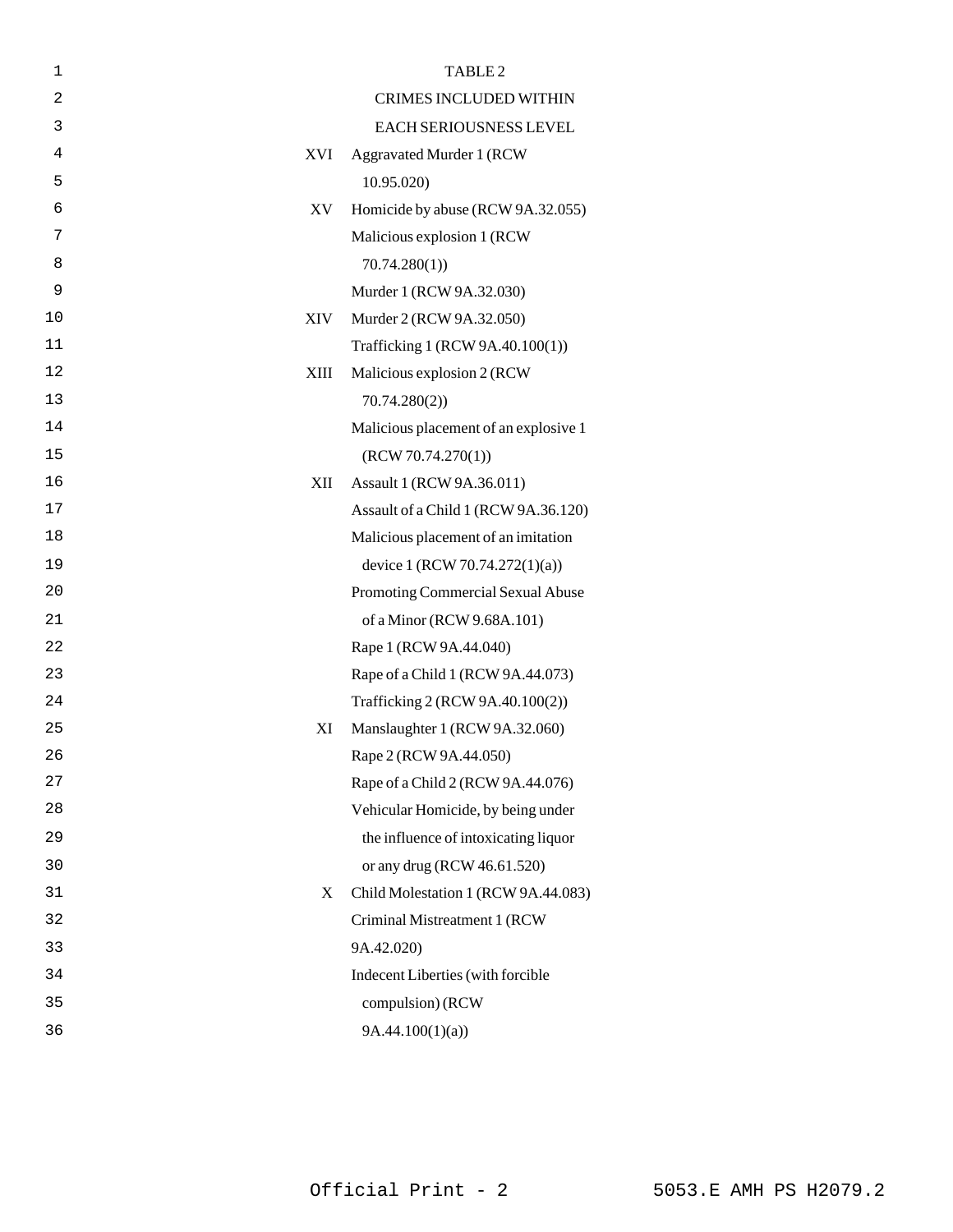| $\mathbf 1$ |      | TABLE <sub>2</sub>                    |
|-------------|------|---------------------------------------|
| 2           |      | <b>CRIMES INCLUDED WITHIN</b>         |
| 3           |      | EACH SERIOUSNESS LEVEL                |
| 4           | XVI  | <b>Aggravated Murder 1 (RCW)</b>      |
| 5           |      | 10.95.020                             |
| 6           | XV   | Homicide by abuse (RCW 9A.32.055)     |
| 7           |      | Malicious explosion 1 (RCW            |
| 8           |      | 70.74.280(1)                          |
| 9           |      | Murder 1 (RCW 9A.32.030)              |
| 10          | XIV  | Murder 2 (RCW 9A.32.050)              |
| 11          |      | Trafficking 1 (RCW 9A.40.100(1))      |
| 12          | XIII | Malicious explosion 2 (RCW)           |
| 13          |      | 70.74.280(2)                          |
| 14          |      | Malicious placement of an explosive 1 |
| 15          |      | (RCW 70.74.270(1))                    |
| 16          | XII  | Assault 1 (RCW 9A.36.011)             |
| 17          |      | Assault of a Child 1 (RCW 9A.36.120)  |
| 18          |      | Malicious placement of an imitation   |
| 19          |      | device 1 (RCW 70.74.272(1)(a))        |
| 20          |      | Promoting Commercial Sexual Abuse     |
| 21          |      | of a Minor (RCW 9.68A.101)            |
| 22          |      | Rape 1 (RCW 9A.44.040)                |
| 23          |      | Rape of a Child 1 (RCW 9A.44.073)     |
| 24          |      | Trafficking 2 (RCW 9A.40.100(2))      |
| 25          | XI   | Manslaughter 1 (RCW 9A.32.060)        |
| 26          |      | Rape 2 (RCW 9A.44.050)                |
| 27          |      | Rape of a Child 2 (RCW 9A.44.076)     |
| 28          |      | Vehicular Homicide, by being under    |
| 29          |      | the influence of intoxicating liquor  |
| 30          |      | or any drug (RCW 46.61.520)           |
| 31          | X    | Child Molestation 1 (RCW 9A.44.083)   |
| 32          |      | Criminal Mistreatment 1 (RCW          |
| 33          |      | 9A.42.020)                            |
| 34          |      | Indecent Liberties (with forcible     |
| 35          |      | compulsion) (RCW                      |
| 36          |      | 9A.44.100(1)(a)                       |
|             |      |                                       |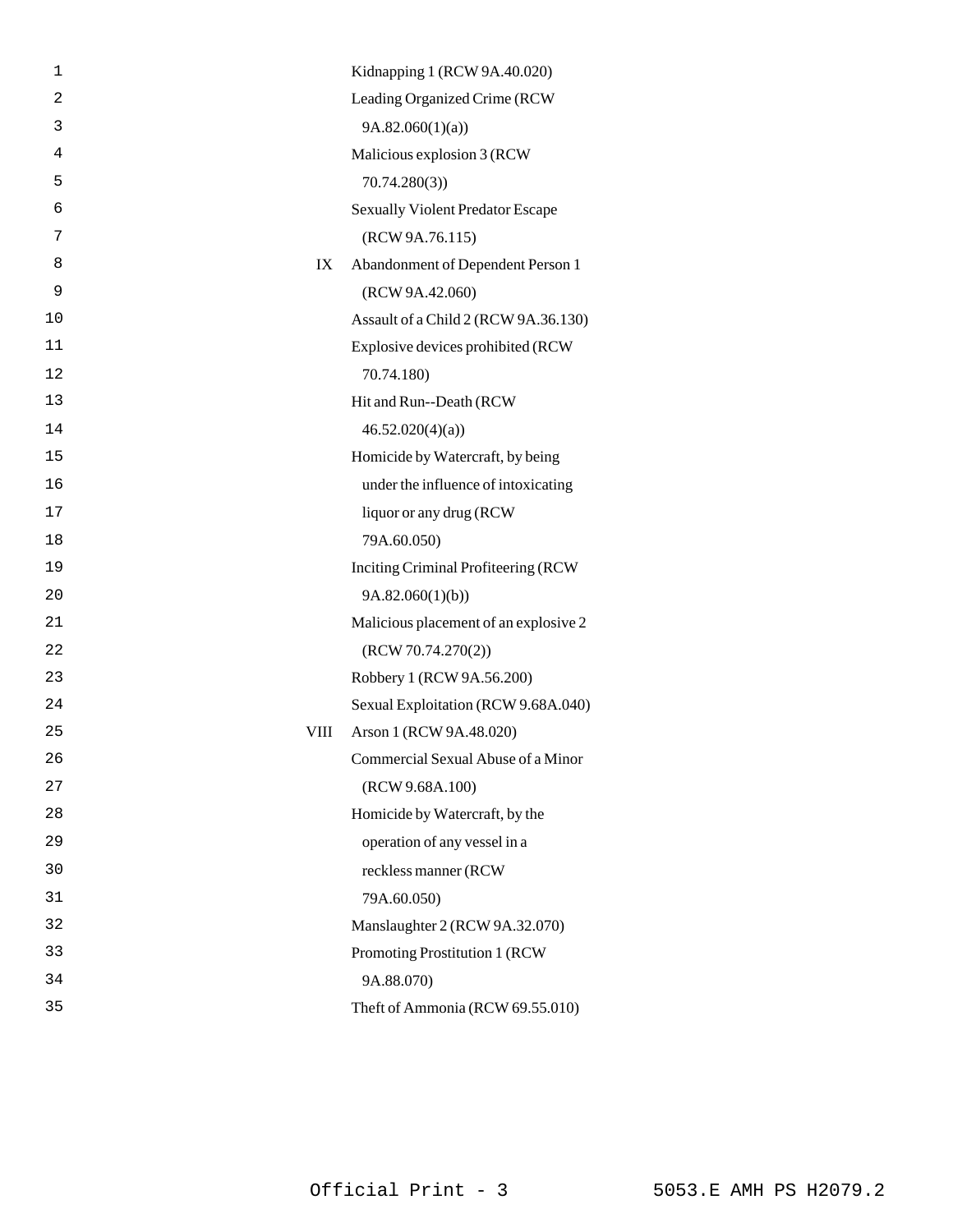| 1  |      | Kidnapping 1 (RCW 9A.40.020)            |
|----|------|-----------------------------------------|
| 2  |      | Leading Organized Crime (RCW            |
| 3  |      | 9A.82.060(1)(a)                         |
| 4  |      | Malicious explosion 3 (RCW              |
| 5  |      | 70.74.280(3)                            |
| 6  |      | <b>Sexually Violent Predator Escape</b> |
| 7  |      | (RCW 9A.76.115)                         |
| 8  | IX   | Abandonment of Dependent Person 1       |
| 9  |      | (RCW 9A.42.060)                         |
| 10 |      | Assault of a Child 2 (RCW 9A.36.130)    |
| 11 |      | Explosive devices prohibited (RCW       |
| 12 |      | 70.74.180)                              |
| 13 |      | Hit and Run--Death (RCW                 |
| 14 |      | 46.52.020(4)(a)                         |
| 15 |      | Homicide by Watercraft, by being        |
| 16 |      | under the influence of intoxicating     |
| 17 |      | liquor or any drug (RCW                 |
| 18 |      | 79A.60.050)                             |
| 19 |      | Inciting Criminal Profiteering (RCW     |
| 20 |      | 9A.82.060(1)(b)                         |
| 21 |      | Malicious placement of an explosive 2   |
| 22 |      | (RCW 70.74.270(2))                      |
| 23 |      | Robbery 1 (RCW 9A.56.200)               |
| 24 |      | Sexual Exploitation (RCW 9.68A.040)     |
| 25 | VIII | Arson 1 (RCW 9A.48.020)                 |
| 26 |      | Commercial Sexual Abuse of a Minor      |
| 27 |      | (RCW 9.68A.100)                         |
| 28 |      | Homicide by Watercraft, by the          |
| 29 |      | operation of any vessel in a            |
| 30 |      | reckless manner (RCW                    |
| 31 |      | 79A.60.050)                             |
| 32 |      | Manslaughter 2 (RCW 9A.32.070)          |
| 33 |      | Promoting Prostitution 1 (RCW           |
| 34 |      | 9A.88.070)                              |
| 35 |      | Theft of Ammonia (RCW 69.55.010)        |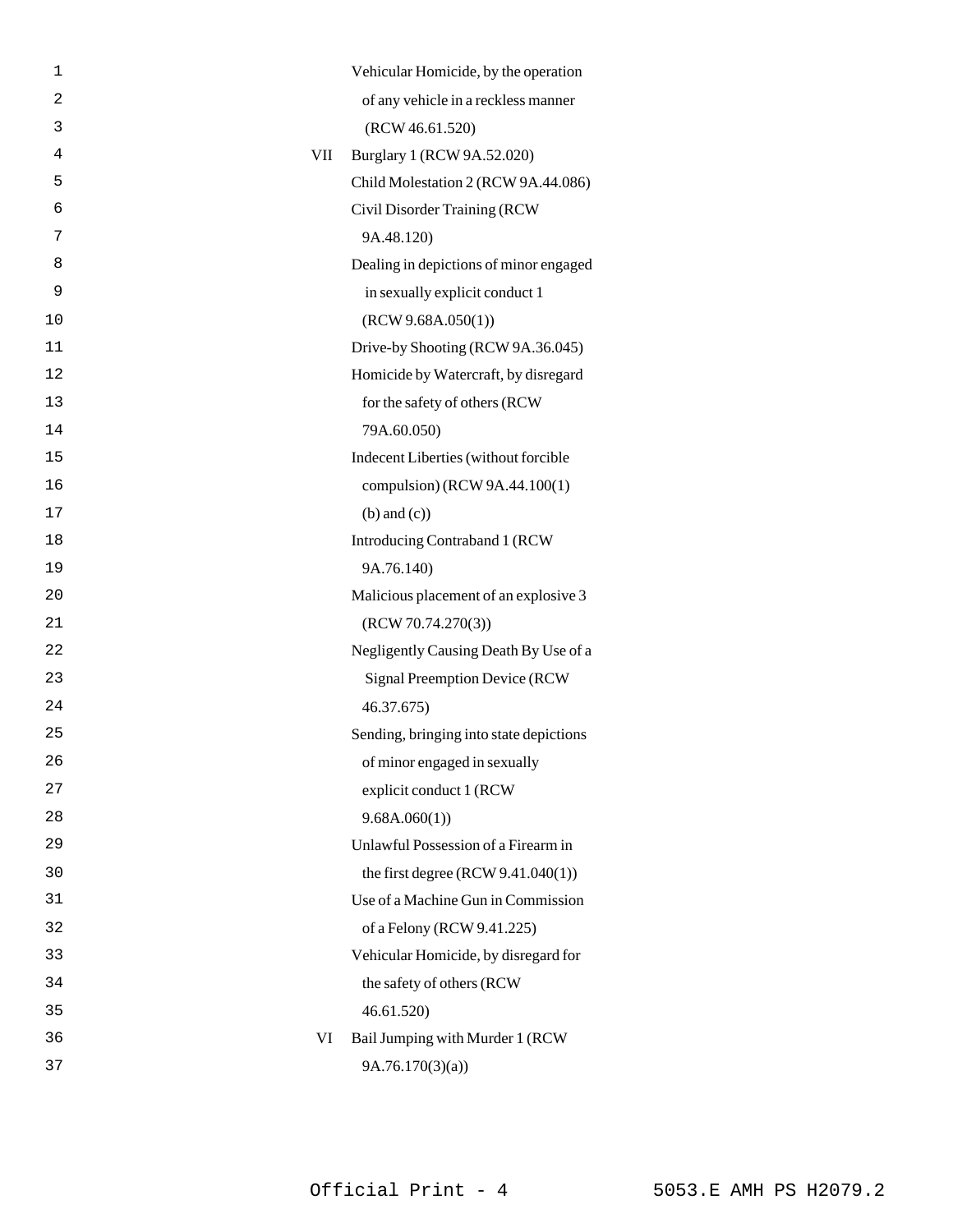| $\mathbf 1$    |     | Vehicular Homicide, by the operation    |
|----------------|-----|-----------------------------------------|
| $\overline{2}$ |     | of any vehicle in a reckless manner     |
| 3              |     | (RCW 46.61.520)                         |
| 4              | VII | Burglary 1 (RCW 9A.52.020)              |
| 5              |     | Child Molestation 2 (RCW 9A.44.086)     |
| 6              |     | Civil Disorder Training (RCW            |
| 7              |     | 9A.48.120)                              |
| 8              |     | Dealing in depictions of minor engaged  |
| 9              |     | in sexually explicit conduct 1          |
| 10             |     | (RCW 9.68A.050(1))                      |
| 11             |     | Drive-by Shooting (RCW 9A.36.045)       |
| 12             |     | Homicide by Watercraft, by disregard    |
| 13             |     | for the safety of others (RCW           |
| 14             |     | 79A.60.050)                             |
| 15             |     | Indecent Liberties (without forcible    |
| 16             |     | compulsion) (RCW 9A.44.100(1)           |
| 17             |     | $(b)$ and $(c)$ )                       |
| 18             |     | Introducing Contraband 1 (RCW           |
| 19             |     | 9A.76.140)                              |
| 20             |     | Malicious placement of an explosive 3   |
| 21             |     | (RCW 70.74.270(3))                      |
| 22             |     | Negligently Causing Death By Use of a   |
| 23             |     | Signal Preemption Device (RCW           |
| 24             |     | 46.37.675)                              |
| 25             |     | Sending, bringing into state depictions |
| 26             |     | of minor engaged in sexually            |
| 27             |     | explicit conduct 1 (RCW                 |
| 28             |     | 9.68A.060(1)                            |
| 29             |     | Unlawful Possession of a Firearm in     |
| 30             |     | the first degree $(RCW 9.41.040(1))$    |
| 31             |     | Use of a Machine Gun in Commission      |
| 32             |     | of a Felony (RCW 9.41.225)              |
| 33             |     | Vehicular Homicide, by disregard for    |
| 34             |     | the safety of others (RCW               |
| 35             |     | 46.61.520)                              |
| 36             | VI  | Bail Jumping with Murder 1 (RCW         |
| 37             |     | 9A.76.170(3)(a)                         |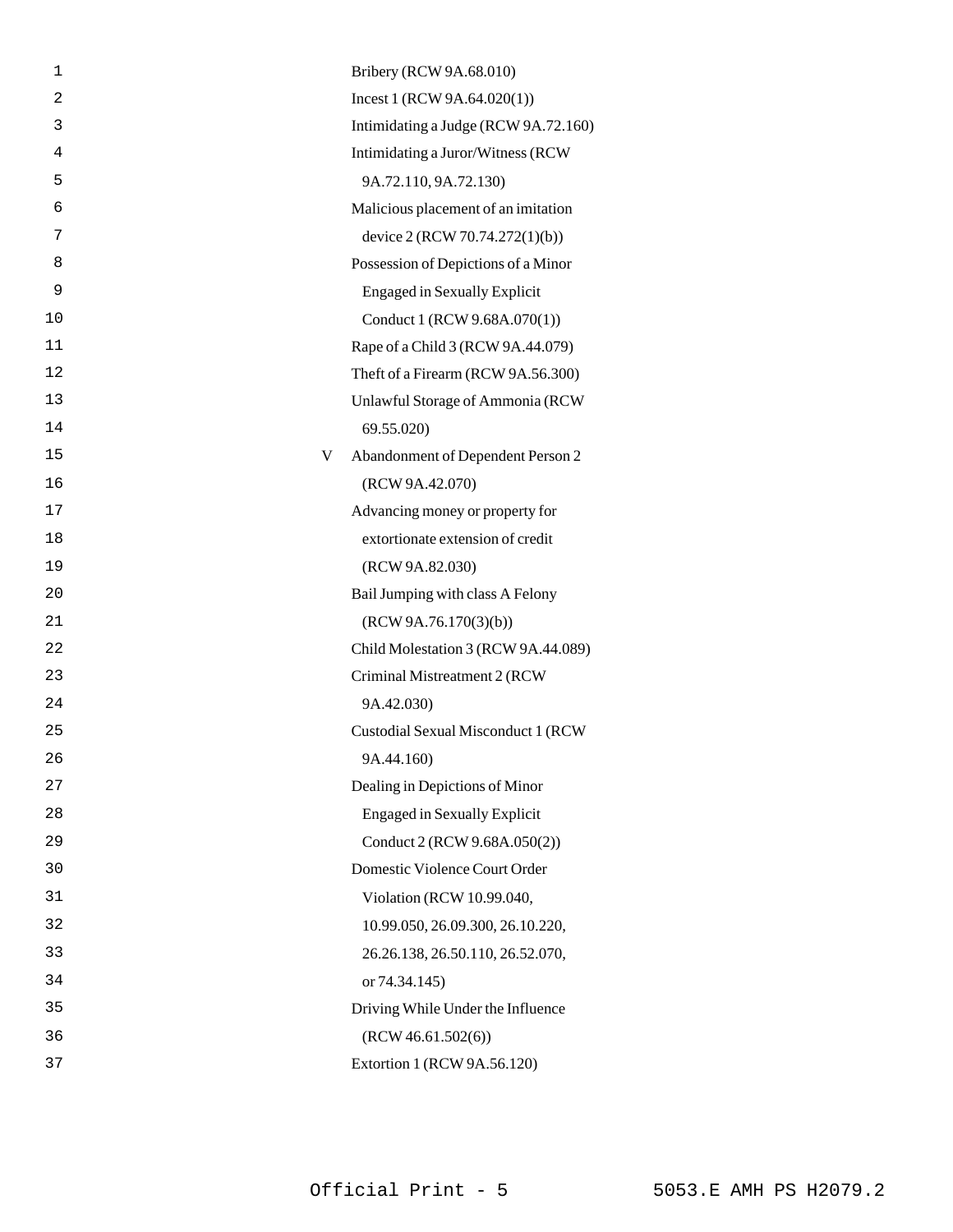| 1              |   | Bribery (RCW 9A.68.010)                    |
|----------------|---|--------------------------------------------|
| $\overline{a}$ |   | Incest 1 (RCW 9A.64.020(1))                |
| 3              |   | Intimidating a Judge (RCW 9A.72.160)       |
| 4              |   | Intimidating a Juror/Witness (RCW          |
| 5              |   | 9A.72.110, 9A.72.130)                      |
| 6              |   | Malicious placement of an imitation        |
| 7              |   | device 2 (RCW 70.74.272(1)(b))             |
| 8              |   | Possession of Depictions of a Minor        |
| 9              |   | <b>Engaged in Sexually Explicit</b>        |
| 10             |   | Conduct 1 (RCW 9.68A.070(1))               |
| 11             |   | Rape of a Child 3 (RCW 9A.44.079)          |
| 12             |   | Theft of a Firearm (RCW 9A.56.300)         |
| 13             |   | Unlawful Storage of Ammonia (RCW           |
| 14             |   | 69.55.020)                                 |
| 15             | V | Abandonment of Dependent Person 2          |
| 16             |   | (RCW 9A.42.070)                            |
| 17             |   | Advancing money or property for            |
| 18             |   | extortionate extension of credit           |
| 19             |   | (RCW 9A.82.030)                            |
| 20             |   | Bail Jumping with class A Felony           |
| 21             |   | (RCW 9A.76.170(3)(b))                      |
| 22             |   | Child Molestation 3 (RCW 9A.44.089)        |
| 23             |   | Criminal Mistreatment 2 (RCW               |
| 24             |   | 9A.42.030)                                 |
| 25             |   | <b>Custodial Sexual Misconduct 1 (RCW)</b> |
| 26             |   | 9A.44.160)                                 |
| 27             |   | Dealing in Depictions of Minor             |
| 28             |   | <b>Engaged in Sexually Explicit</b>        |
| 29             |   | Conduct 2 (RCW 9.68A.050(2))               |
| 30             |   | Domestic Violence Court Order              |
| 31             |   | Violation (RCW 10.99.040,                  |
| 32             |   | 10.99.050, 26.09.300, 26.10.220,           |
| 33             |   | 26.26.138, 26.50.110, 26.52.070,           |
| 34             |   | or 74.34.145)                              |
| 35             |   | Driving While Under the Influence          |
| 36             |   | (RCW 46.61.502(6))                         |
| 37             |   | Extortion 1 (RCW 9A.56.120)                |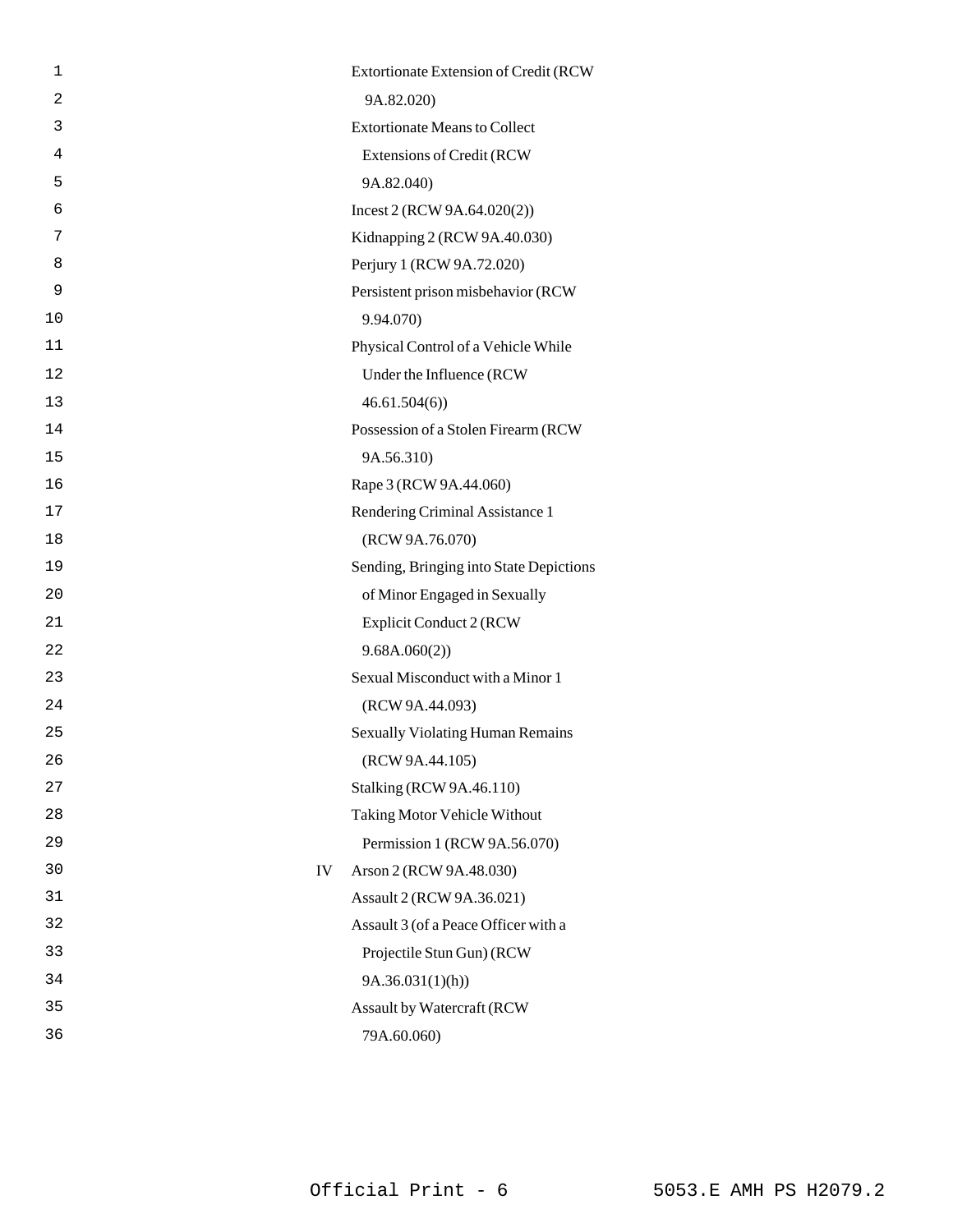| 1  |    | Extortionate Extension of Credit (RCW   |
|----|----|-----------------------------------------|
| 2  |    | 9A.82.020)                              |
| 3  |    | <b>Extortionate Means to Collect</b>    |
| 4  |    | Extensions of Credit (RCW               |
| 5  |    | 9A.82.040)                              |
| 6  |    | Incest 2 (RCW 9A.64.020(2))             |
| 7  |    | Kidnapping 2 (RCW 9A.40.030)            |
| 8  |    | Perjury 1 (RCW 9A.72.020)               |
| 9  |    | Persistent prison misbehavior (RCW      |
| 10 |    | 9.94.070)                               |
| 11 |    | Physical Control of a Vehicle While     |
| 12 |    | Under the Influence (RCW                |
| 13 |    | 46.61.504(6)                            |
| 14 |    | Possession of a Stolen Firearm (RCW     |
| 15 |    | 9A.56.310)                              |
| 16 |    | Rape 3 (RCW 9A.44.060)                  |
| 17 |    | Rendering Criminal Assistance 1         |
| 18 |    | (RCW 9A.76.070)                         |
| 19 |    | Sending, Bringing into State Depictions |
| 20 |    | of Minor Engaged in Sexually            |
| 21 |    | Explicit Conduct 2 (RCW                 |
| 22 |    | 9.68A.060(2)                            |
| 23 |    | Sexual Misconduct with a Minor 1        |
| 24 |    | (RCW 9A.44.093)                         |
| 25 |    | <b>Sexually Violating Human Remains</b> |
| 26 |    | (RCW 9A.44.105)                         |
| 27 |    | <b>Stalking (RCW 9A.46.110)</b>         |
| 28 |    | Taking Motor Vehicle Without            |
| 29 |    | Permission 1 (RCW 9A.56.070)            |
| 30 | IV | Arson 2 (RCW 9A.48.030)                 |
| 31 |    | Assault 2 (RCW 9A.36.021)               |
| 32 |    | Assault 3 (of a Peace Officer with a    |
| 33 |    | Projectile Stun Gun) (RCW               |
| 34 |    | 9A.36.031(1)(h)                         |
| 35 |    | Assault by Watercraft (RCW              |
| 36 |    | 79A.60.060)                             |
|    |    |                                         |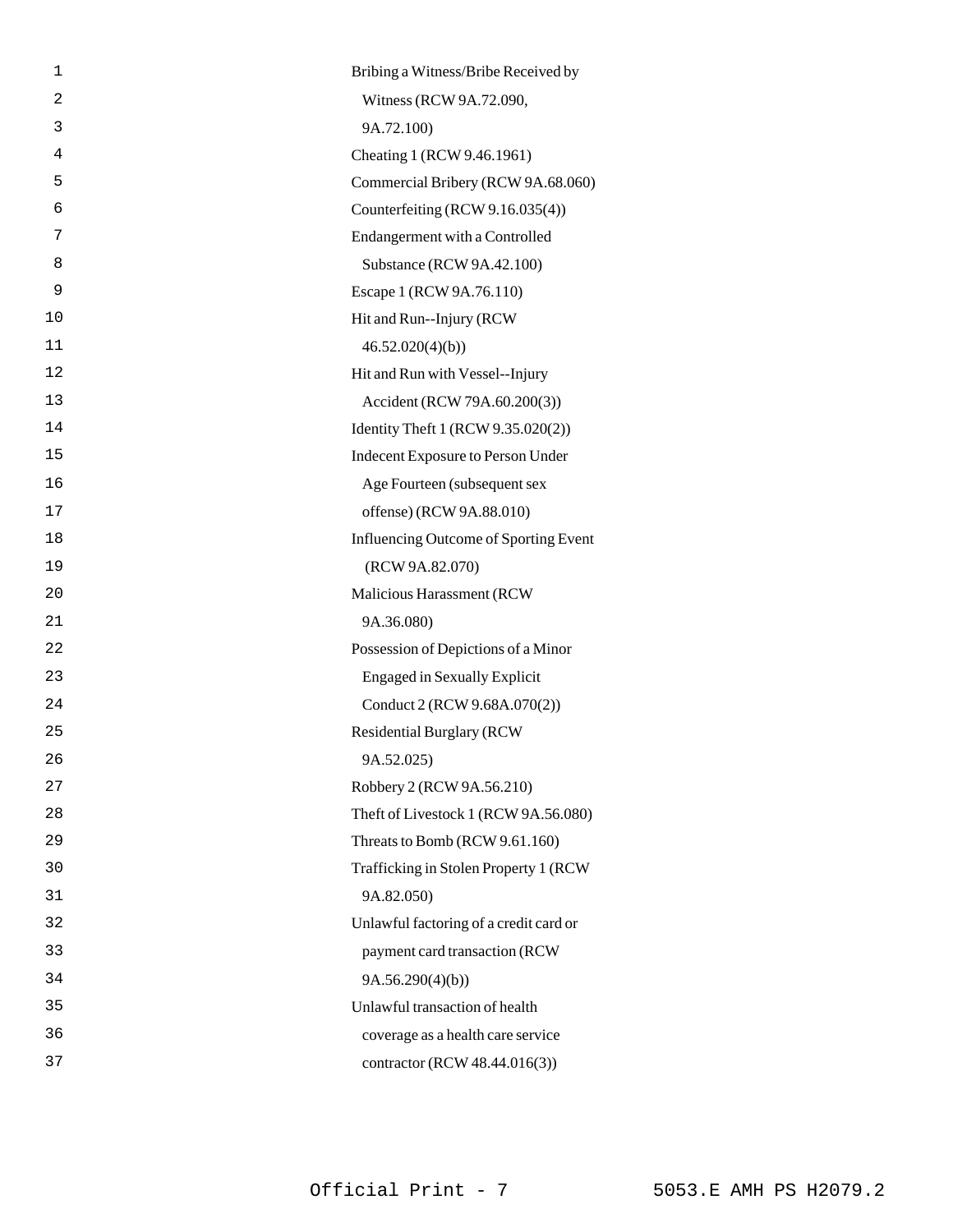| 1              | Bribing a Witness/Bribe Received by    |
|----------------|----------------------------------------|
| $\overline{c}$ | Witness (RCW 9A.72.090,                |
| 3              | 9A.72.100)                             |
| 4              | Cheating 1 (RCW 9.46.1961)             |
| 5              | Commercial Bribery (RCW 9A.68.060)     |
| 6              | Counterfeiting (RCW 9.16.035(4))       |
| 7              | Endangerment with a Controlled         |
| 8              | Substance (RCW 9A.42.100)              |
| 9              | Escape 1 (RCW 9A.76.110)               |
| 10             | Hit and Run--Injury (RCW)              |
| 11             | 46.52.020(4)(b)                        |
| 12             | Hit and Run with Vessel--Injury        |
| 13             | Accident (RCW 79A.60.200(3))           |
| 14             | Identity Theft 1 (RCW 9.35.020(2))     |
| 15             | Indecent Exposure to Person Under      |
| 16             | Age Fourteen (subsequent sex           |
| 17             | offense) (RCW 9A.88.010)               |
| 18             | Influencing Outcome of Sporting Event  |
| 19             | (RCW 9A.82.070)                        |
| 20             | Malicious Harassment (RCW              |
| 21             | 9A.36.080)                             |
| 22             | Possession of Depictions of a Minor    |
| 23             | <b>Engaged in Sexually Explicit</b>    |
| 24             | Conduct 2 (RCW 9.68A.070(2))           |
| 25             | <b>Residential Burglary (RCW</b>       |
| 26             | 9A.52.025)                             |
| 27             | Robbery 2 (RCW 9A.56.210)              |
| 28             | Theft of Livestock 1 (RCW 9A.56.080)   |
| 29             | Threats to Bomb (RCW 9.61.160)         |
| 30             | Trafficking in Stolen Property 1 (RCW  |
| 31             | 9A.82.050)                             |
| 32             | Unlawful factoring of a credit card or |
| 33             | payment card transaction (RCW          |
| 34             | 9A.56.290(4)(b)                        |
| 35             | Unlawful transaction of health         |
| 36             | coverage as a health care service      |
| 37             | contractor (RCW 48.44.016(3))          |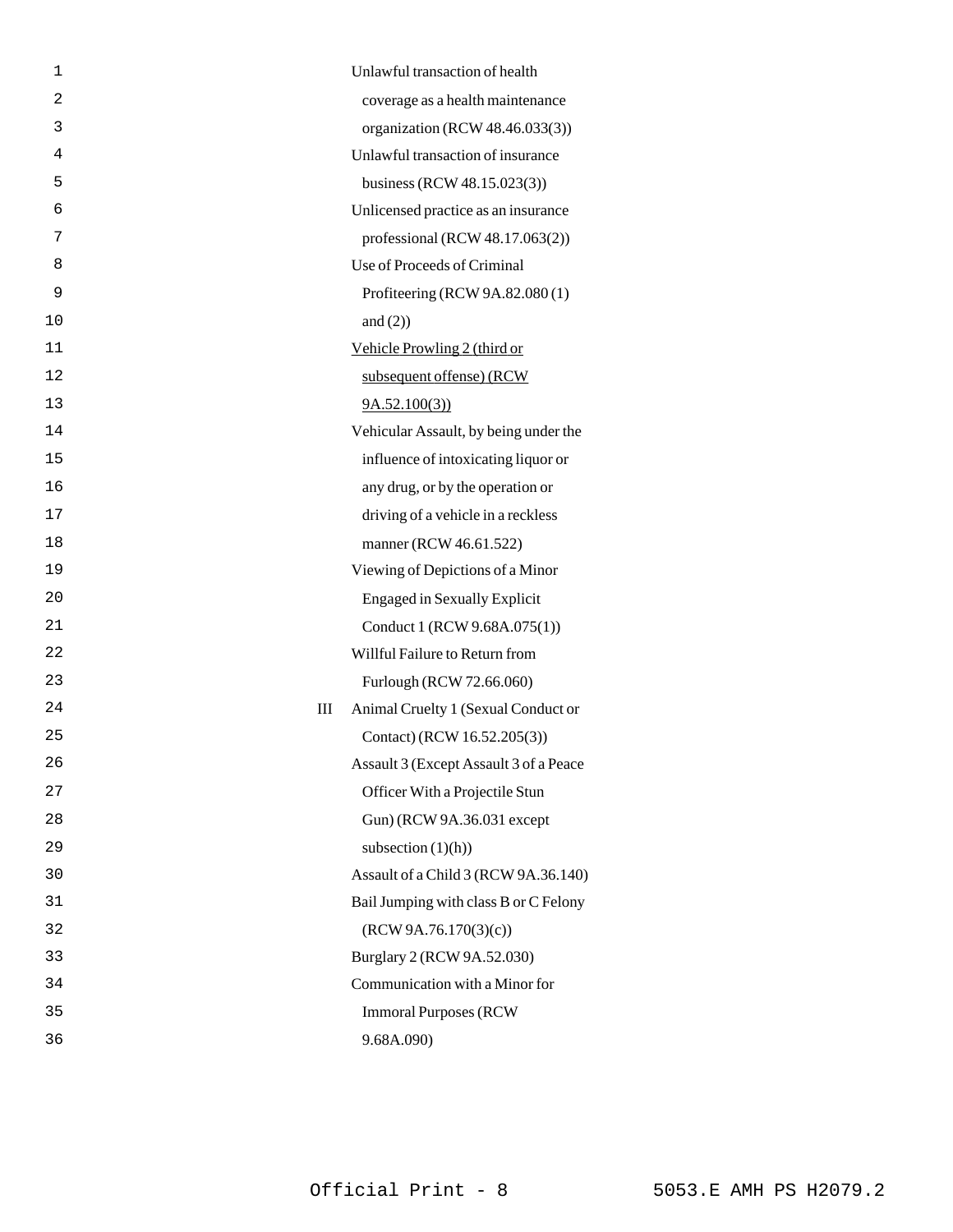| 1  | Unlawful transaction of health           |
|----|------------------------------------------|
| 2  | coverage as a health maintenance         |
| 3  | organization (RCW 48.46.033(3))          |
| 4  | Unlawful transaction of insurance        |
| 5  | business (RCW 48.15.023(3))              |
| 6  | Unlicensed practice as an insurance      |
| 7  | professional (RCW 48.17.063(2))          |
| 8  | Use of Proceeds of Criminal              |
| 9  | Profiteering (RCW 9A.82.080 (1)          |
| 10 | and $(2)$ )                              |
| 11 | Vehicle Prowling 2 (third or             |
| 12 | subsequent offense) (RCW                 |
| 13 | 9A.52.100(3)                             |
| 14 | Vehicular Assault, by being under the    |
| 15 | influence of intoxicating liquor or      |
| 16 | any drug, or by the operation or         |
| 17 | driving of a vehicle in a reckless       |
| 18 | manner (RCW 46.61.522)                   |
| 19 | Viewing of Depictions of a Minor         |
| 20 | <b>Engaged in Sexually Explicit</b>      |
| 21 | Conduct 1 (RCW 9.68A.075(1))             |
| 22 | Willful Failure to Return from           |
| 23 | Furlough (RCW 72.66.060)                 |
| 24 | Animal Cruelty 1 (Sexual Conduct or<br>Ш |
| 25 | Contact) (RCW 16.52.205(3))              |
| 26 | Assault 3 (Except Assault 3 of a Peace   |
| 27 | Officer With a Projectile Stun           |
| 28 | Gun) (RCW 9A.36.031 except               |
| 29 | subsection $(1)(h)$                      |
| 30 | Assault of a Child 3 (RCW 9A.36.140)     |
| 31 | Bail Jumping with class B or C Felony    |
| 32 | (RCW 9A.76.170(3)(c))                    |
| 33 | Burglary 2 (RCW 9A.52.030)               |
| 34 | Communication with a Minor for           |
| 35 | <b>Immoral Purposes (RCW)</b>            |
| 36 | 9.68A.090)                               |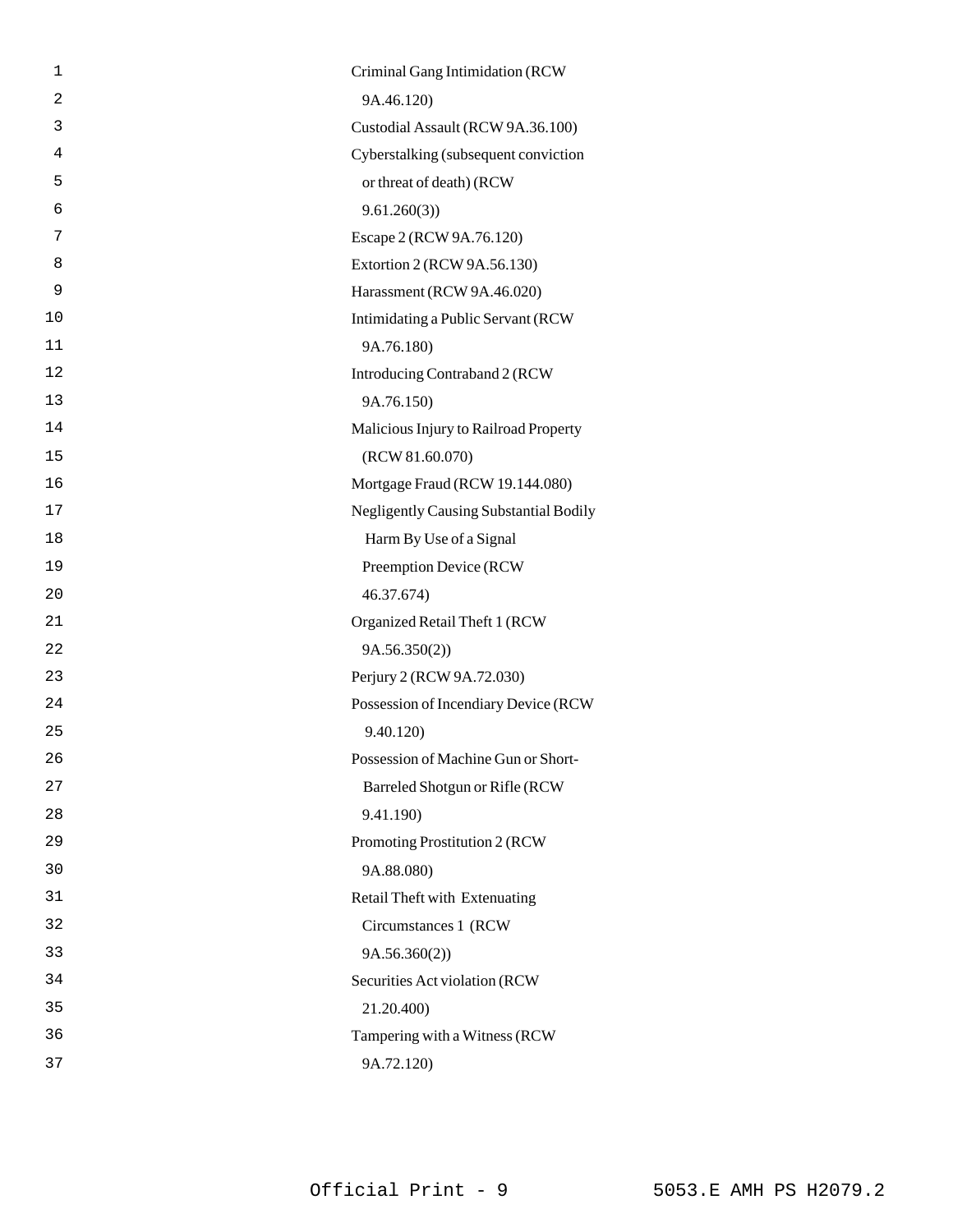| 1              | Criminal Gang Intimidation (RCW               |
|----------------|-----------------------------------------------|
| $\overline{2}$ | 9A.46.120)                                    |
| 3              | Custodial Assault (RCW 9A.36.100)             |
| 4              | Cyberstalking (subsequent conviction          |
| 5              | or threat of death) (RCW                      |
| 6              | 9.61.260(3)                                   |
| 7              | Escape 2 (RCW 9A.76.120)                      |
| 8              | Extortion 2 (RCW 9A.56.130)                   |
| 9              | Harassment (RCW 9A.46.020)                    |
| 10             | Intimidating a Public Servant (RCW            |
| 11             | 9A.76.180)                                    |
| 12             | Introducing Contraband 2 (RCW                 |
| 13             | 9A.76.150)                                    |
| 14             | Malicious Injury to Railroad Property         |
| 15             | (RCW 81.60.070)                               |
| 16             | Mortgage Fraud (RCW 19.144.080)               |
| 17             | <b>Negligently Causing Substantial Bodily</b> |
| 18             | Harm By Use of a Signal                       |
| 19             | Preemption Device (RCW                        |
| 20             | 46.37.674)                                    |
| 21             | Organized Retail Theft 1 (RCW                 |
| 22             | 9A.56.350(2))                                 |
| 23             | Perjury 2 (RCW 9A.72.030)                     |
| 24             | Possession of Incendiary Device (RCW          |
| 25             | 9.40.120)                                     |
| 26             | Possession of Machine Gun or Short-           |
| 27             | Barreled Shotgun or Rifle (RCW                |
| 28             | 9.41.190)                                     |
| 29             | Promoting Prostitution 2 (RCW                 |
| 30             | 9A.88.080)                                    |
| 31             | Retail Theft with Extenuating                 |
| 32             | Circumstances 1 (RCW                          |
| 33             | 9A.56.360(2))                                 |
| 34             | Securities Act violation (RCW                 |
| 35             | 21.20.400)                                    |
| 36             | Tampering with a Witness (RCW                 |
| 37             | 9A.72.120)                                    |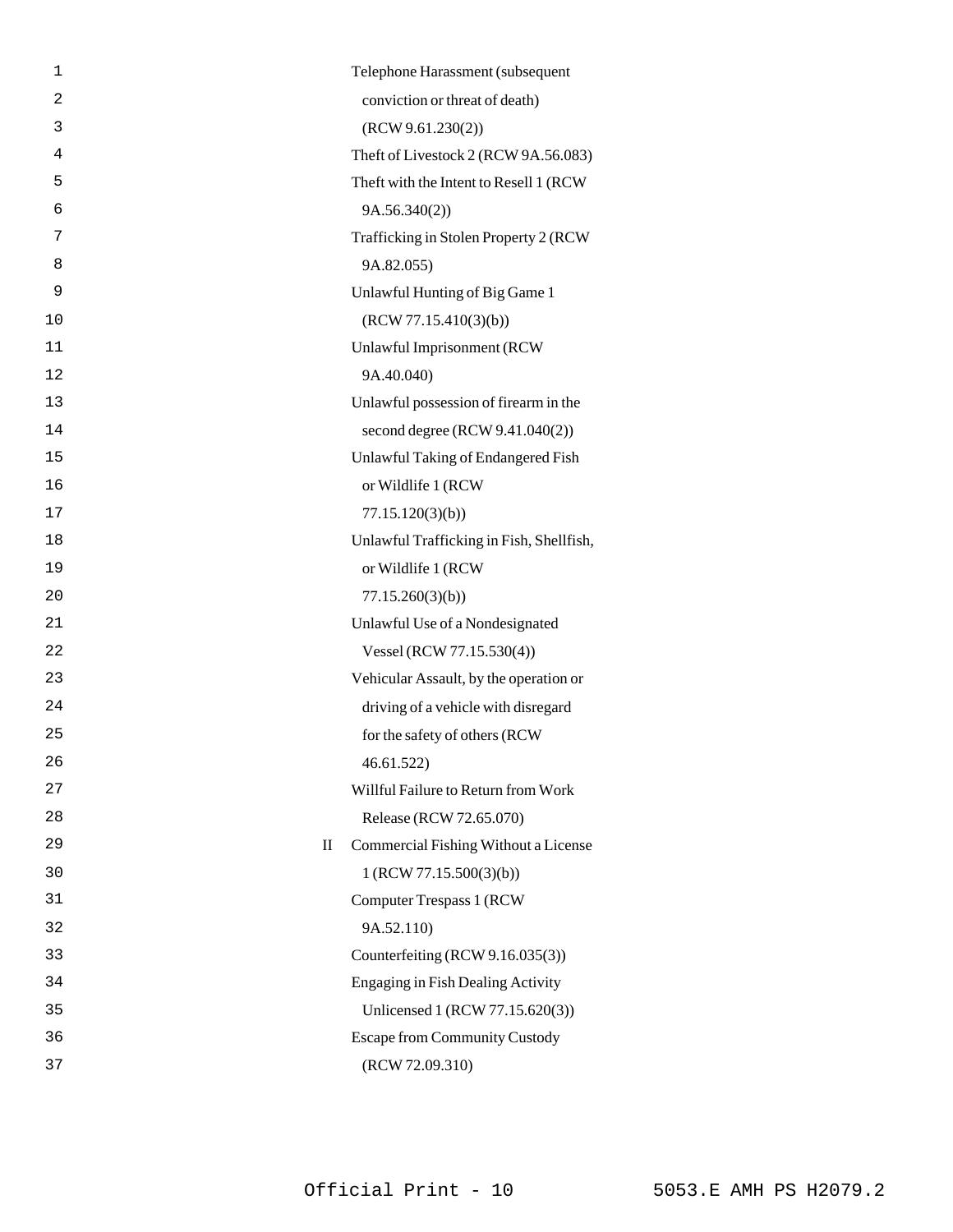| 1                  | Telephone Harassment (subsequent         |
|--------------------|------------------------------------------|
| $\overline{2}$     | conviction or threat of death)           |
| 3                  | (RCW 9.61.230(2))                        |
| 4                  | Theft of Livestock 2 (RCW 9A.56.083)     |
| 5                  | Theft with the Intent to Resell 1 (RCW)  |
| 6                  | 9A.56.340(2))                            |
| 7                  | Trafficking in Stolen Property 2 (RCW    |
| 8                  | 9A.82.055)                               |
| 9                  | Unlawful Hunting of Big Game 1           |
| 10                 | (RCW 77.15.410(3)(b))                    |
| 11                 | Unlawful Imprisonment (RCW               |
| 12                 | 9A.40.040)                               |
| 13                 | Unlawful possession of firearm in the    |
| 14                 | second degree (RCW 9.41.040(2))          |
| 15                 | Unlawful Taking of Endangered Fish       |
| 16                 | or Wildlife 1 (RCW                       |
| 17                 | 77.15.120(3)(b)                          |
| 18                 | Unlawful Trafficking in Fish, Shellfish, |
| 19                 | or Wildlife 1 (RCW                       |
| 20                 | 77.15.260(3)(b)                          |
| 21                 | Unlawful Use of a Nondesignated          |
| 22                 | Vessel (RCW 77.15.530(4))                |
| 23                 | Vehicular Assault, by the operation or   |
| 24                 | driving of a vehicle with disregard      |
| 25                 | for the safety of others (RCW            |
| 26                 | 46.61.522                                |
| 27                 | Willful Failure to Return from Work      |
| 28                 | Release (RCW 72.65.070)                  |
| 29<br>$\mathbf{I}$ | Commercial Fishing Without a License     |
| 30                 | 1 (RCW 77.15.500(3)(b))                  |
| 31                 | Computer Trespass 1 (RCW)                |
| 32                 | 9A.52.110)                               |
| 33                 | Counterfeiting (RCW 9.16.035(3))         |
| 34                 | <b>Engaging in Fish Dealing Activity</b> |
| 35                 | Unlicensed 1 (RCW 77.15.620(3))          |
| 36                 | <b>Escape from Community Custody</b>     |
| 37                 | (RCW 72.09.310)                          |
|                    |                                          |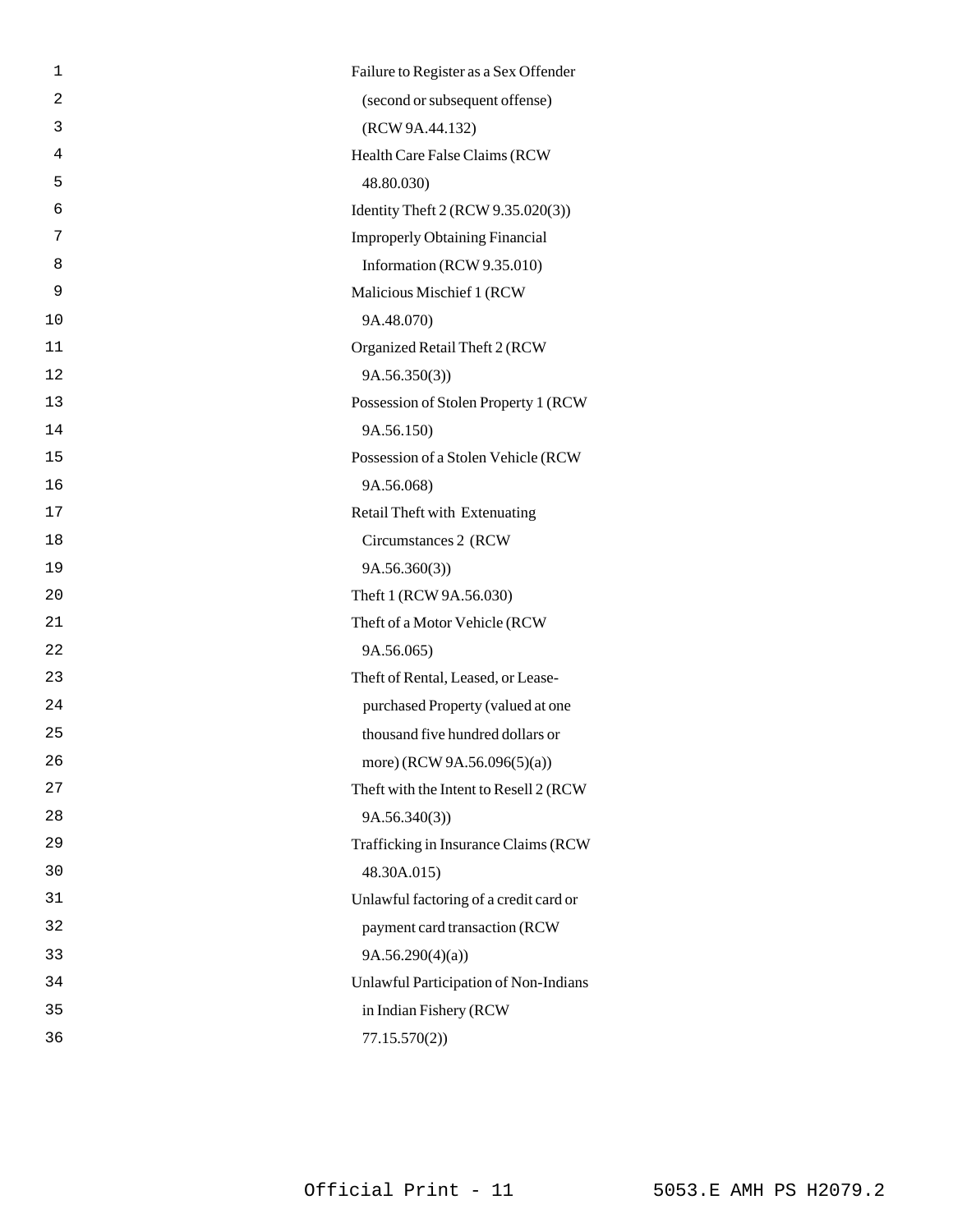| 1  | Failure to Register as a Sex Offender  |
|----|----------------------------------------|
| 2  | (second or subsequent offense)         |
| 3  | (RCW 9A.44.132)                        |
| 4  | Health Care False Claims (RCW          |
| 5  | 48.80.030)                             |
| 6  | Identity Theft 2 (RCW 9.35.020(3))     |
| 7  | <b>Improperly Obtaining Financial</b>  |
| 8  | Information (RCW 9.35.010)             |
| 9  | Malicious Mischief 1 (RCW              |
| 10 | 9A.48.070)                             |
| 11 | Organized Retail Theft 2 (RCW          |
| 12 | 9A.56.350(3)                           |
| 13 | Possession of Stolen Property 1 (RCW   |
| 14 | 9A.56.150)                             |
| 15 | Possession of a Stolen Vehicle (RCW    |
| 16 | 9A.56.068)                             |
| 17 | Retail Theft with Extenuating          |
| 18 | Circumstances 2 (RCW                   |
| 19 | 9A.56.360(3)                           |
| 20 | Theft 1 (RCW 9A.56.030)                |
| 21 | Theft of a Motor Vehicle (RCW          |
| 22 | 9A.56.065)                             |
| 23 | Theft of Rental, Leased, or Lease-     |
| 24 | purchased Property (valued at one      |
| 25 | thousand five hundred dollars or       |
| 26 | more) (RCW 9A.56.096(5)(a))            |
| 27 | Theft with the Intent to Resell 2 (RCW |
| 28 | 9A.56.340(3)                           |
| 29 | Trafficking in Insurance Claims (RCW   |
| 30 | 48.30A.015)                            |
| 31 | Unlawful factoring of a credit card or |
| 32 | payment card transaction (RCW          |
| 33 | 9A.56.290(4)(a)                        |
| 34 | Unlawful Participation of Non-Indians  |
| 35 | in Indian Fishery (RCW                 |
| 36 | 77.15.570(2)                           |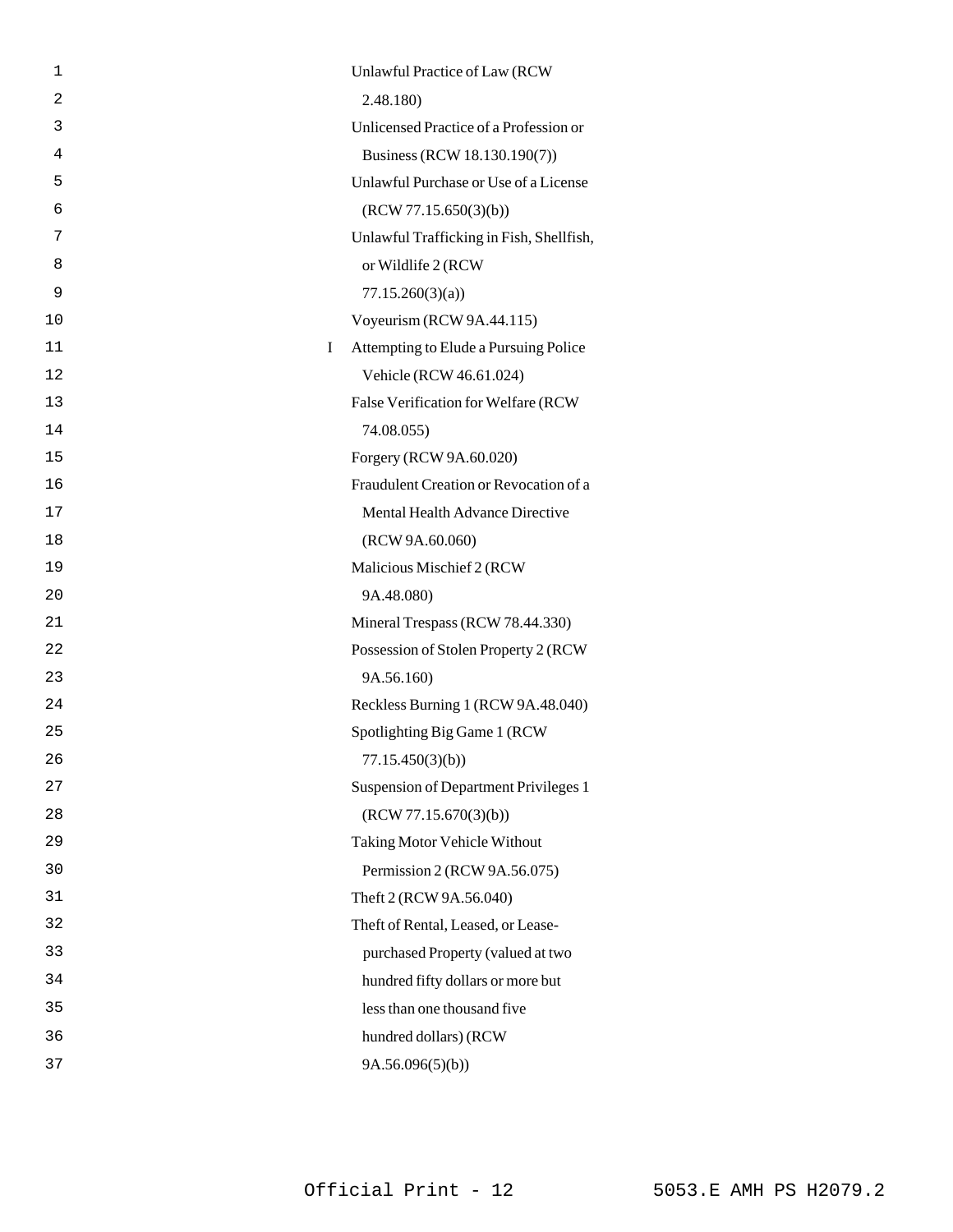| 1       | Unlawful Practice of Law (RCW            |
|---------|------------------------------------------|
| 2       | 2.48.180                                 |
| 3       | Unlicensed Practice of a Profession or   |
| 4       | Business (RCW 18.130.190(7))             |
| 5       | Unlawful Purchase or Use of a License    |
| 6       | (RCW 77.15.650(3)(b))                    |
| 7       | Unlawful Trafficking in Fish, Shellfish, |
| 8       | or Wildlife 2 (RCW)                      |
| 9       | 77.15.260(3)(a)                          |
| 10      | Voyeurism (RCW 9A.44.115)                |
| 11<br>Ι | Attempting to Elude a Pursuing Police    |
| 12      | Vehicle (RCW 46.61.024)                  |
| 13      | False Verification for Welfare (RCW      |
| 14      | 74.08.055)                               |
| 15      | Forgery (RCW 9A.60.020)                  |
| 16      | Fraudulent Creation or Revocation of a   |
| 17      | Mental Health Advance Directive          |
| 18      | (RCW 9A.60.060)                          |
| 19      | Malicious Mischief 2 (RCW                |
| 20      | 9A.48.080)                               |
| 21      | Mineral Trespass (RCW 78.44.330)         |
| 22      | Possession of Stolen Property 2 (RCW     |
| 23      | 9A.56.160)                               |
| 24      | Reckless Burning 1 (RCW 9A.48.040)       |
| 25      | Spotlighting Big Game 1 (RCW             |
| 26      | 77.15.450(3)(b)                          |
| 27      | Suspension of Department Privileges 1    |
| 28      | (RCW 77.15.670(3)(b))                    |
| 29      | Taking Motor Vehicle Without             |
| 30      | Permission 2 (RCW 9A.56.075)             |
| 31      | Theft 2 (RCW 9A.56.040)                  |
| 32      | Theft of Rental, Leased, or Lease-       |
| 33      | purchased Property (valued at two        |
| 34      | hundred fifty dollars or more but        |
| 35      | less than one thousand five              |
| 36      | hundred dollars) (RCW                    |
| 37      | 9A.56.096(5)(b)                          |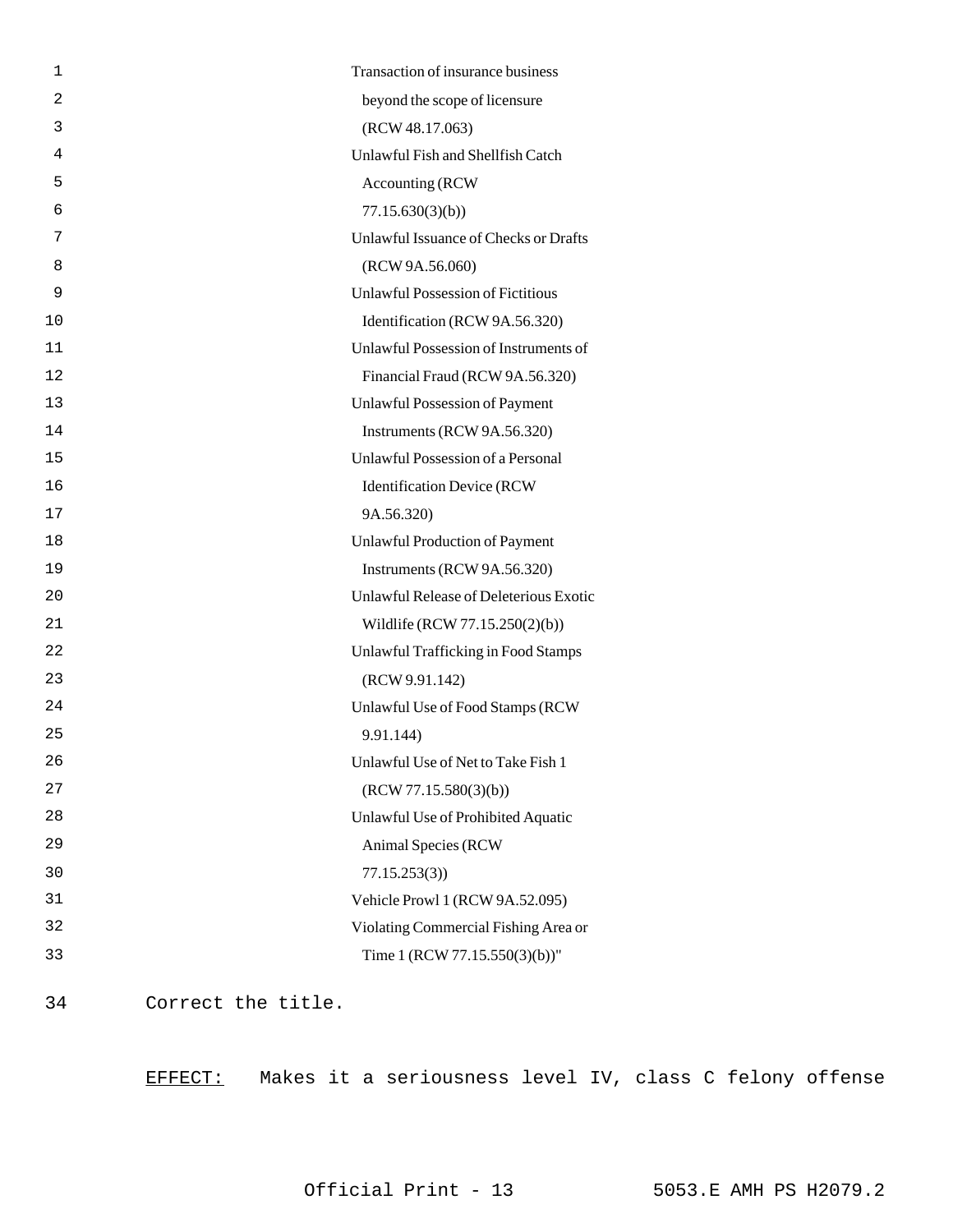| 1  | Transaction of insurance business        |
|----|------------------------------------------|
| 2  | beyond the scope of licensure            |
| 3  | (RCW 48.17.063)                          |
| 4  | Unlawful Fish and Shellfish Catch        |
| 5  | Accounting (RCW                          |
| 6  | 77.15.630(3)(b)                          |
| 7  | Unlawful Issuance of Checks or Drafts    |
| 8  | (RCW 9A.56.060)                          |
| 9  | <b>Unlawful Possession of Fictitious</b> |
| 10 | Identification (RCW 9A.56.320)           |
| 11 | Unlawful Possession of Instruments of    |
| 12 | Financial Fraud (RCW 9A.56.320)          |
| 13 | <b>Unlawful Possession of Payment</b>    |
| 14 | Instruments (RCW 9A.56.320)              |
| 15 | Unlawful Possession of a Personal        |
| 16 | <b>Identification Device (RCW</b>        |
| 17 | 9A.56.320)                               |
| 18 | Unlawful Production of Payment           |
| 19 | Instruments (RCW 9A.56.320)              |
| 20 | Unlawful Release of Deleterious Exotic   |
| 21 | Wildlife (RCW 77.15.250(2)(b))           |
| 22 | Unlawful Trafficking in Food Stamps      |
| 23 | (RCW 9.91.142)                           |
| 24 | Unlawful Use of Food Stamps (RCW         |
| 25 | 9.91.144)                                |
| 26 | Unlawful Use of Net to Take Fish 1       |
| 27 | (RCW 77.15.580(3)(b))                    |
| 28 | Unlawful Use of Prohibited Aquatic       |
| 29 | Animal Species (RCW                      |
| 30 | 77.15.253(3)                             |
| 31 | Vehicle Prowl 1 (RCW 9A.52.095)          |
| 32 | Violating Commercial Fishing Area or     |
| 33 | Time 1 (RCW 77.15.550(3)(b))"            |
|    |                                          |

34 Correct the title.

EFFECT: Makes it a seriousness level IV, class C felony offense